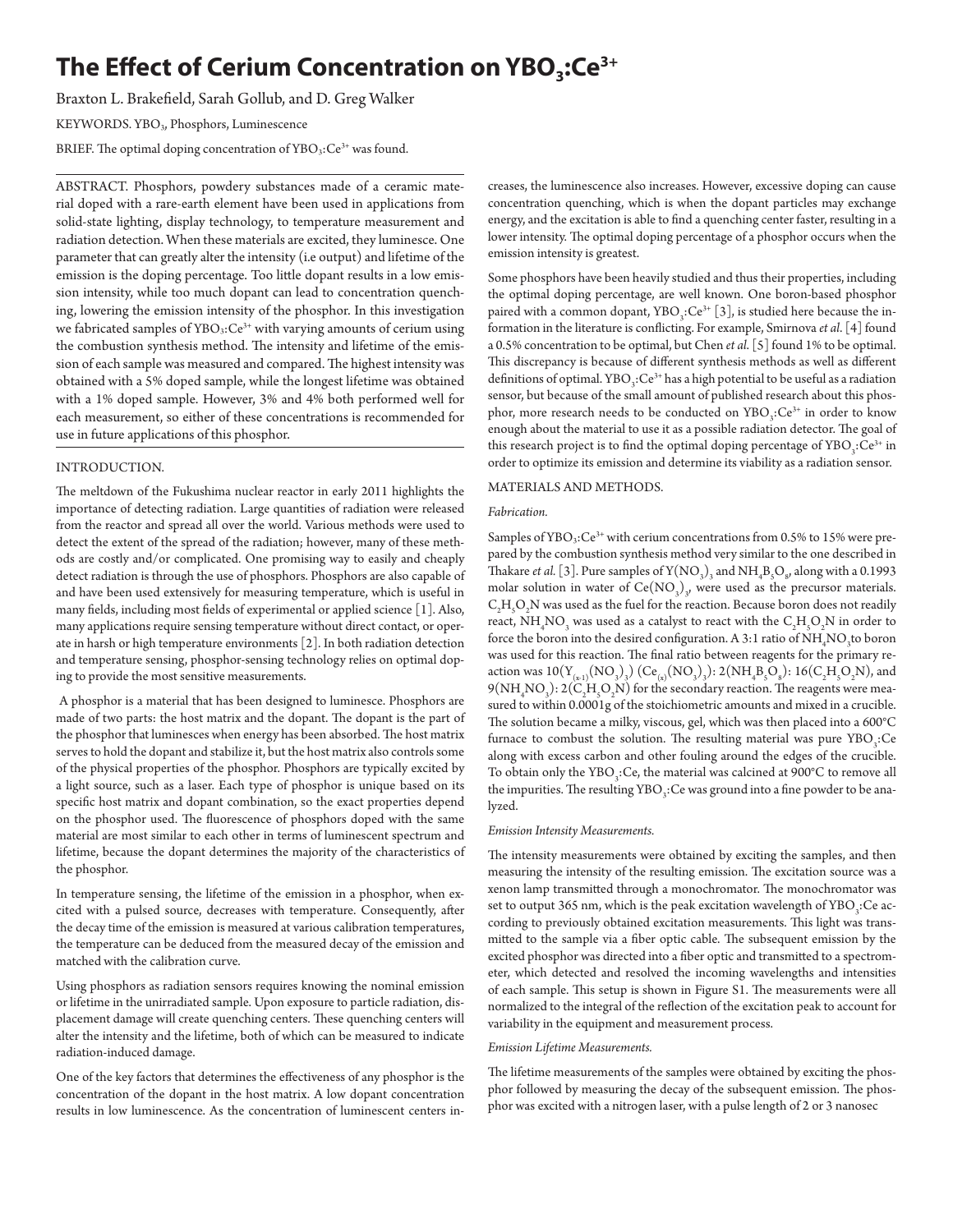# **The Effect of Cerium Concentration on YBO<sub>3</sub>:Ce<sup>3+</sup>**

Braxton L. Brakefield, Sarah Gollub, and D. Greg Walker

KEYWORDS. YBO3, Phosphors, Luminescence

BRIEF. The optimal doping concentration of YBO<sub>3</sub>:Ce<sup>3+</sup> was found.

ABSTRACT. Phosphors, powdery substances made of a ceramic material doped with a rare-earth element have been used in applications from solid-state lighting, display technology, to temperature measurement and radiation detection. When these materials are excited, they luminesce. One parameter that can greatly alter the intensity (i.e output) and lifetime of the emission is the doping percentage. Too little dopant results in a low emission intensity, while too much dopant can lead to concentration quenching, lowering the emission intensity of the phosphor. In this investigation we fabricated samples of YBO<sub>3</sub>:Ce<sup>3+</sup> with varying amounts of cerium using the combustion synthesis method. The intensity and lifetime of the emission of each sample was measured and compared. The highest intensity was obtained with a 5% doped sample, while the longest lifetime was obtained with a 1% doped sample. However, 3% and 4% both performed well for each measurement, so either of these concentrations is recommended for use in future applications of this phosphor.

## INTRODUCTION.

The meltdown of the Fukushima nuclear reactor in early 2011 highlights the importance of detecting radiation. Large quantities of radiation were released from the reactor and spread all over the world. Various methods were used to detect the extent of the spread of the radiation; however, many of these methods are costly and/or complicated. One promising way to easily and cheaply detect radiation is through the use of phosphors. Phosphors are also capable of and have been used extensively for measuring temperature, which is useful in many fields, including most fields of experimental or applied science [1]. Also, many applications require sensing temperature without direct contact, or operate in harsh or high temperature environments [2]. In both radiation detection and temperature sensing, phosphor-sensing technology relies on optimal doping to provide the most sensitive measurements.

 A phosphor is a material that has been designed to luminesce. Phosphors are made of two parts: the host matrix and the dopant. The dopant is the part of the phosphor that luminesces when energy has been absorbed. The host matrix serves to hold the dopant and stabilize it, but the host matrix also controls some of the physical properties of the phosphor. Phosphors are typically excited by a light source, such as a laser. Each type of phosphor is unique based on its specific host matrix and dopant combination, so the exact properties depend on the phosphor used. The fluorescence of phosphors doped with the same material are most similar to each other in terms of luminescent spectrum and lifetime, because the dopant determines the majority of the characteristics of the phosphor.

In temperature sensing, the lifetime of the emission in a phosphor, when excited with a pulsed source, decreases with temperature. Consequently, after the decay time of the emission is measured at various calibration temperatures, the temperature can be deduced from the measured decay of the emission and matched with the calibration curve.

Using phosphors as radiation sensors requires knowing the nominal emission or lifetime in the unirradiated sample. Upon exposure to particle radiation, displacement damage will create quenching centers. These quenching centers will alter the intensity and the lifetime, both of which can be measured to indicate radiation-induced damage.

One of the key factors that determines the effectiveness of any phosphor is the concentration of the dopant in the host matrix. A low dopant concentration results in low luminescence. As the concentration of luminescent centers in-

creases, the luminescence also increases. However, excessive doping can cause concentration quenching, which is when the dopant particles may exchange energy, and the excitation is able to find a quenching center faster, resulting in a lower intensity. The optimal doping percentage of a phosphor occurs when the emission intensity is greatest.

Some phosphors have been heavily studied and thus their properties, including the optimal doping percentage, are well known. One boron-based phosphor paired with a common dopant,  $YBO_3:Ce^{3+}[3]$ , is studied here because the information in the literature is conflicting. For example, Smirnova *et al*. [4] found a 0.5% concentration to be optimal, but Chen *et al*. [5] found 1% to be optimal. This discrepancy is because of different synthesis methods as well as different definitions of optimal. YBO<sub>3</sub>:Ce<sup>3+</sup> has a high potential to be useful as a radiation sensor, but because of the small amount of published research about this phosphor, more research needs to be conducted on  $YBO<sub>3</sub>:Ce<sup>3+</sup>$  in order to know enough about the material to use it as a possible radiation detector. The goal of this research project is to find the optimal doping percentage of  $\text{YBO}_3$ : $\text{Ce}^{3+}$  in order to optimize its emission and determine its viability as a radiation sensor.

# MATERIALS AND METHODS.

## *Fabrication.*

Samples of  $YBO_3:Ce^{3+}$  with cerium concentrations from 0.5% to 15% were prepared by the combustion synthesis method very similar to the one described in Thakare *et al.* [3]. Pure samples of  $Y(NO_3)_3$  and  $NH_4B_5O_8$ , along with a 0.1993 molar solution in water of  $\text{Ce}(\text{NO}_3)_3$ , were used as the precursor materials.  $\mathrm{C_2H_5O_2N}$  was used as the fuel for the reaction. Because boron does not readily react,  $\mathrm{NH}_4\mathrm{NO}_3$  was used as a catalyst to react with the  $\mathrm{C_2H_5O_2N}$  in order to force the boron into the desired configuration. A 3:1 ratio of  $\mathrm{NH}_4\mathrm{NO}_3$  to boron was used for this reaction. The final ratio between reagents for the primary reaction was  $10(Y_{(x1)}(NO_3)_3)$   $(Ce_{(x)}(NO_3)_3)$ :  $2(NH_4B_5O_8)$ :  $16(C_2H_5O_2N)$ , and  $9(NH_4NO_3): 2(C_2H_5O_2N)$  for the secondary reaction. The reagents were measured to within 0.0001g of the stoichiometric amounts and mixed in a crucible. The solution became a milky, viscous, gel, which was then placed into a 600°C furnace to combust the solution. The resulting material was pure  $\mathrm{YBO}_{3}$ :Ce along with excess carbon and other fouling around the edges of the crucible. To obtain only the YBO<sub>3</sub>:Ce, the material was calcined at 900°C to remove all the impurities. The resulting YBO<sub>3</sub>:Ce was ground into a fine powder to be analyzed.

#### *Emission Intensity Measurements.*

The intensity measurements were obtained by exciting the samples, and then measuring the intensity of the resulting emission. The excitation source was a xenon lamp transmitted through a monochromator. The monochromator was set to output 365 nm, which is the peak excitation wavelength of YBO<sub>3</sub>:Ce according to previously obtained excitation measurements. This light was transmitted to the sample via a fiber optic cable. The subsequent emission by the excited phosphor was directed into a fiber optic and transmitted to a spectrometer, which detected and resolved the incoming wavelengths and intensities of each sample. This setup is shown in Figure S1. The measurements were all normalized to the integral of the reflection of the excitation peak to account for variability in the equipment and measurement process.

## *Emission Lifetime Measurements.*

The lifetime measurements of the samples were obtained by exciting the phosphor followed by measuring the decay of the subsequent emission. The phosphor was excited with a nitrogen laser, with a pulse length of 2 or 3 nanosec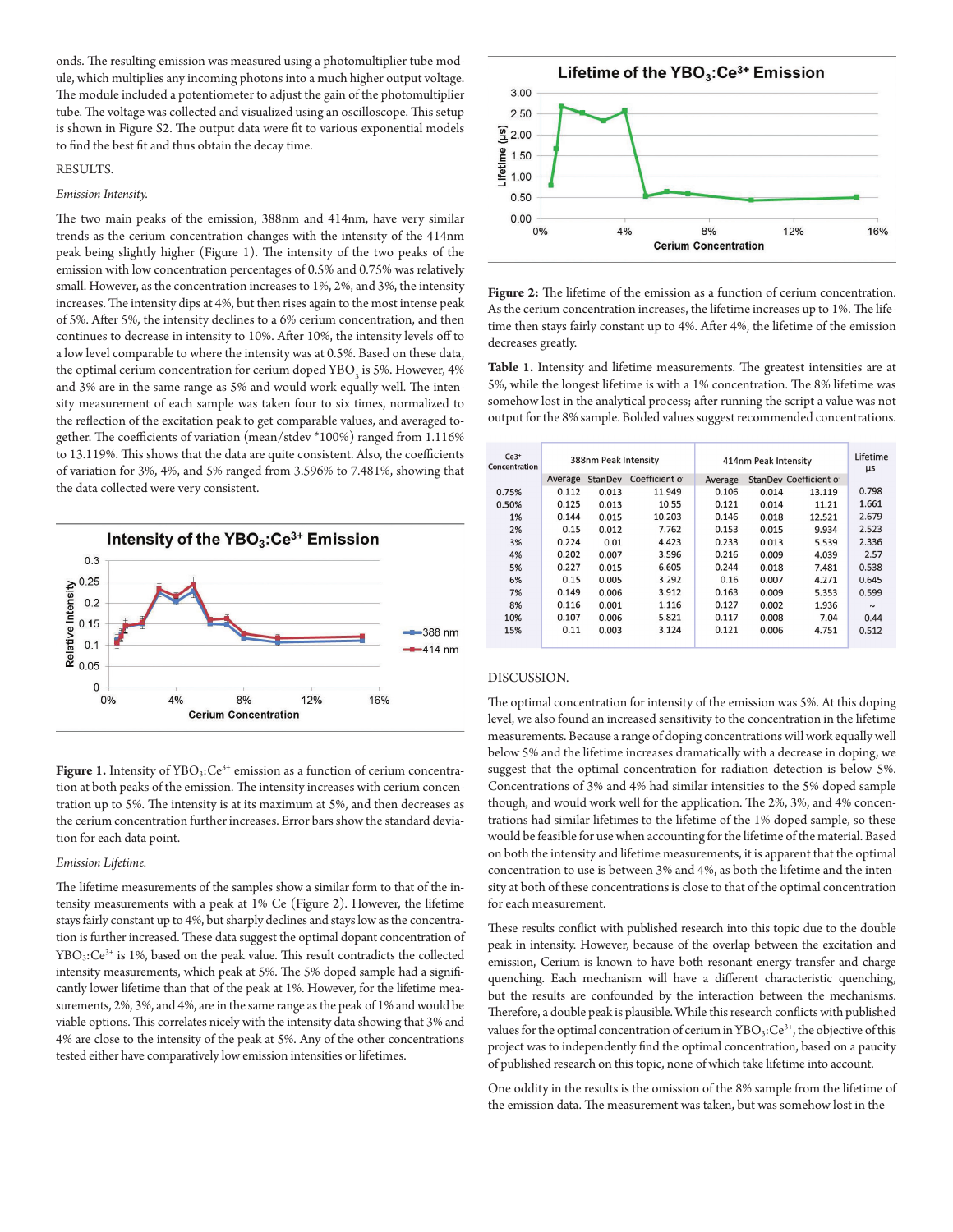onds. The resulting emission was measured using a photomultiplier tube module, which multiplies any incoming photons into a much higher output voltage. The module included a potentiometer to adjust the gain of the photomultiplier tube. The voltage was collected and visualized using an oscilloscope. This setup is shown in Figure S2. The output data were fit to various exponential models to find the best fit and thus obtain the decay time.

#### RESULTS.

### *Emission Intensity.*

The two main peaks of the emission, 388nm and 414nm, have very similar trends as the cerium concentration changes with the intensity of the 414nm peak being slightly higher (Figure 1). The intensity of the two peaks of the emission with low concentration percentages of 0.5% and 0.75% was relatively small. However, as the concentration increases to 1%, 2%, and 3%, the intensity increases. The intensity dips at 4%, but then rises again to the most intense peak of 5%. After 5%, the intensity declines to a 6% cerium concentration, and then continues to decrease in intensity to 10%. After 10%, the intensity levels off to a low level comparable to where the intensity was at 0.5%. Based on these data, the optimal cerium concentration for cerium doped YBO<sub>3</sub> is 5%. However, 4% and 3% are in the same range as 5% and would work equally well. The intensity measurement of each sample was taken four to six times, normalized to the reflection of the excitation peak to get comparable values, and averaged together. The coefficients of variation (mean/stdev \*100%) ranged from 1.116% to 13.119%. This shows that the data are quite consistent. Also, the coefficients of variation for 3%, 4%, and 5% ranged from 3.596% to 7.481%, showing that the data collected were very consistent.



Figure 1. Intensity of YBO<sub>3</sub>:Ce<sup>3+</sup> emission as a function of cerium concentration at both peaks of the emission. The intensity increases with cerium concentration up to 5%. The intensity is at its maximum at 5%, and then decreases as the cerium concentration further increases. Error bars show the standard deviation for each data point.

#### *Emission Lifetime.*

The lifetime measurements of the samples show a similar form to that of the intensity measurements with a peak at 1% Ce (Figure 2). However, the lifetime stays fairly constant up to 4%, but sharply declines and stays low as the concentration is further increased. These data suggest the optimal dopant concentration of YBO3:Ce3+ is 1%, based on the peak value. This result contradicts the collected intensity measurements, which peak at 5%. The 5% doped sample had a significantly lower lifetime than that of the peak at 1%. However, for the lifetime measurements, 2%, 3%, and 4%, are in the same range as the peak of 1% and would be viable options. This correlates nicely with the intensity data showing that 3% and 4% are close to the intensity of the peak at 5%. Any of the other concentrations tested either have comparatively low emission intensities or lifetimes.



**Figure 2:** The lifetime of the emission as a function of cerium concentration. As the cerium concentration increases, the lifetime increases up to 1%. The lifetime then stays fairly constant up to 4%. After 4%, the lifetime of the emission decreases greatly.

**Table 1.** Intensity and lifetime measurements. The greatest intensities are at 5%, while the longest lifetime is with a 1% concentration. The 8% lifetime was somehow lost in the analytical process; after running the script a value was not output for the 8% sample. Bolded values suggest recommended concentrations.

| $Ce3+$<br>Concentration | 388nm Peak Intensity |         |               | 414nm Peak Intensity |       |                        | Lifetime<br>μs |
|-------------------------|----------------------|---------|---------------|----------------------|-------|------------------------|----------------|
|                         | Average              | StanDev | Coefficient o | Average              |       | StanDev Coefficient of |                |
| 0.75%                   | 0.112                | 0.013   | 11.949        | 0.106                | 0.014 | 13.119                 | 0.798          |
| 0.50%                   | 0.125                | 0.013   | 10.55         | 0.121                | 0.014 | 11.21                  | 1.661          |
| 1%                      | 0.144                | 0.015   | 10.203        | 0.146                | 0.018 | 12.521                 | 2.679          |
| 2%                      | 0.15                 | 0.012   | 7.762         | 0.153                | 0.015 | 9.934                  | 2.523          |
| 3%                      | 0.224                | 0.01    | 4.423         | 0.233                | 0.013 | 5.539                  | 2.336          |
| 4%                      | 0.202                | 0.007   | 3.596         | 0.216                | 0.009 | 4.039                  | 2.57           |
| 5%                      | 0.227                | 0.015   | 6.605         | 0.244                | 0.018 | 7.481                  | 0.538          |
| 6%                      | 0.15                 | 0.005   | 3.292         | 0.16                 | 0.007 | 4.271                  | 0.645          |
| 7%                      | 0.149                | 0.006   | 3.912         | 0.163                | 0.009 | 5.353                  | 0.599          |
| 8%                      | 0.116                | 0.001   | 1.116         | 0.127                | 0.002 | 1.936                  | $\sim$         |
| 10%                     | 0.107                | 0.006   | 5.821         | 0.117                | 0.008 | 7.04                   | 0.44           |
| 15%                     | 0.11                 | 0.003   | 3.124         | 0.121                | 0.006 | 4.751                  | 0.512          |
|                         |                      |         |               |                      |       |                        |                |

#### DISCUSSION.

The optimal concentration for intensity of the emission was 5%. At this doping level, we also found an increased sensitivity to the concentration in the lifetime measurements. Because a range of doping concentrations will work equally well below 5% and the lifetime increases dramatically with a decrease in doping, we suggest that the optimal concentration for radiation detection is below 5%. Concentrations of 3% and 4% had similar intensities to the 5% doped sample though, and would work well for the application. The 2%, 3%, and 4% concentrations had similar lifetimes to the lifetime of the 1% doped sample, so these would be feasible for use when accounting for the lifetime of the material. Based on both the intensity and lifetime measurements, it is apparent that the optimal concentration to use is between 3% and 4%, as both the lifetime and the intensity at both of these concentrations is close to that of the optimal concentration for each measurement.

These results conflict with published research into this topic due to the double peak in intensity. However, because of the overlap between the excitation and emission, Cerium is known to have both resonant energy transfer and charge quenching. Each mechanism will have a different characteristic quenching, but the results are confounded by the interaction between the mechanisms. Therefore, a double peak is plausible. While this research conflicts with published values for the optimal concentration of cerium in  $YBO_3:Ce^{3+}$ , the objective of this project was to independently find the optimal concentration, based on a paucity of published research on this topic, none of which take lifetime into account.

One oddity in the results is the omission of the 8% sample from the lifetime of the emission data. The measurement was taken, but was somehow lost in the